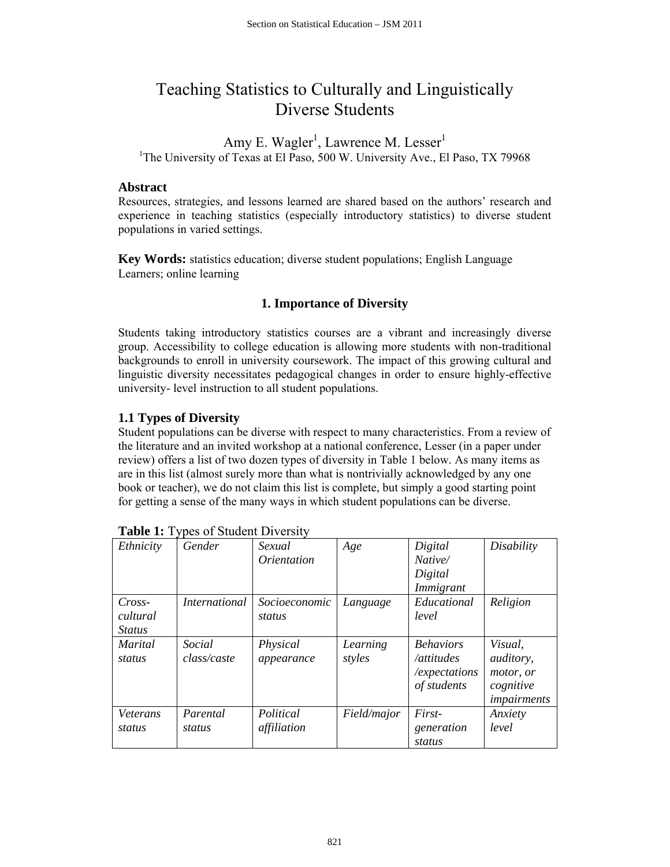# Teaching Statistics to Culturally and Linguistically Diverse Students

Amy E. Wagler<sup>1</sup>, Lawrence M. Lesser<sup>1</sup> <sup>1</sup>The University of Texas at El Paso, 500 W. University Ave., El Paso, TX 79968

## **Abstract**

Resources, strategies, and lessons learned are shared based on the authors' research and experience in teaching statistics (especially introductory statistics) to diverse student populations in varied settings.

**Key Words:** statistics education; diverse student populations; English Language Learners; online learning

# **1. Importance of Diversity**

Students taking introductory statistics courses are a vibrant and increasingly diverse group. Accessibility to college education is allowing more students with non-traditional backgrounds to enroll in university coursework. The impact of this growing cultural and linguistic diversity necessitates pedagogical changes in order to ensure highly-effective university- level instruction to all student populations.

## **1.1 Types of Diversity**

Student populations can be diverse with respect to many characteristics. From a review of the literature and an invited workshop at a national conference, Lesser (in a paper under review) offers a list of two dozen types of diversity in Table 1 below. As many items as are in this list (almost surely more than what is nontrivially acknowledged by any one book or teacher), we do not claim this list is complete, but simply a good starting point for getting a sense of the many ways in which student populations can be diverse.

| Ethnicity                             | Gender                | Sexual<br><i><u><b>Orientation</b></u></i> | Age                | Digital<br>Native/<br>Digital<br>Immigrant                     | Disability                                                           |
|---------------------------------------|-----------------------|--------------------------------------------|--------------------|----------------------------------------------------------------|----------------------------------------------------------------------|
| $Cross-$<br>cultural<br><i>Status</i> | <i>International</i>  | <i>Socioeconomic</i><br>status             | Language           | Educational<br>level                                           | Religion                                                             |
| <i>Marital</i><br>status              | Social<br>class/caste | Physical<br>appearance                     | Learning<br>styles | <b>Behaviors</b><br>/attitudes<br>/expectations<br>of students | Visual,<br><i>auditory,</i><br>motor, or<br>cognitive<br>impairments |
| Veterans<br>status                    | Parental<br>status    | Political<br>affiliation                   | Field/major        | First-<br>generation<br>status                                 | Anxiety<br>level                                                     |

| <b>Table 1:</b> Types of Student Diversity |  |  |
|--------------------------------------------|--|--|
|--------------------------------------------|--|--|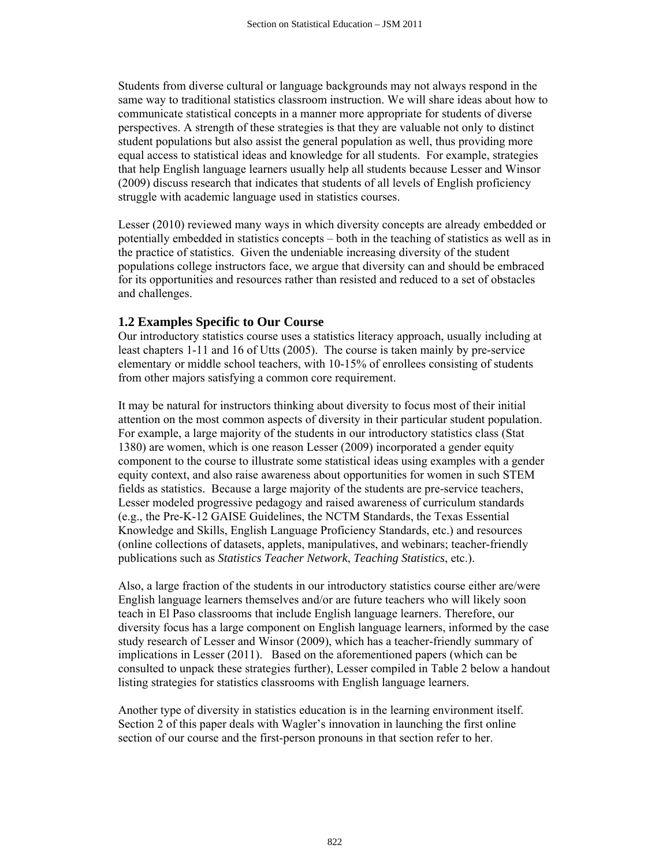Students from diverse cultural or language backgrounds may not always respond in the same way to traditional statistics classroom instruction. We will share ideas about how to communicate statistical concepts in a manner more appropriate for students of diverse perspectives. A strength of these strategies is that they are valuable not only to distinct student populations but also assist the general population as well, thus providing more equal access to statistical ideas and knowledge for all students. For example, strategies that help English language learners usually help all students because Lesser and Winsor (2009) discuss research that indicates that students of all levels of English proficiency struggle with academic language used in statistics courses.

Lesser (2010) reviewed many ways in which diversity concepts are already embedded or potentially embedded in statistics concepts – both in the teaching of statistics as well as in the practice of statistics. Given the undeniable increasing diversity of the student populations college instructors face, we argue that diversity can and should be embraced for its opportunities and resources rather than resisted and reduced to a set of obstacles and challenges.

#### **1.2 Examples Specific to Our Course**

Our introductory statistics course uses a statistics literacy approach, usually including at least chapters 1-11 and 16 of Utts (2005). The course is taken mainly by pre-service elementary or middle school teachers, with 10-15% of enrollees consisting of students from other majors satisfying a common core requirement.

It may be natural for instructors thinking about diversity to focus most of their initial attention on the most common aspects of diversity in their particular student population. For example, a large majority of the students in our introductory statistics class (Stat 1380) are women, which is one reason Lesser (2009) incorporated a gender equity component to the course to illustrate some statistical ideas using examples with a gender equity context, and also raise awareness about opportunities for women in such STEM fields as statistics. Because a large majority of the students are pre-service teachers, Lesser modeled progressive pedagogy and raised awareness of curriculum standards (e.g., the Pre-K-12 GAISE Guidelines, the NCTM Standards, the Texas Essential Knowledge and Skills, English Language Proficiency Standards, etc.) and resources (online collections of datasets, applets, manipulatives, and webinars; teacher-friendly publications such as *Statistics Teacher Network*, *Teaching Statistics*, etc.).

Also, a large fraction of the students in our introductory statistics course either are/were English language learners themselves and/or are future teachers who will likely soon teach in El Paso classrooms that include English language learners. Therefore, our diversity focus has a large component on English language learners, informed by the case study research of Lesser and Winsor (2009), which has a teacher-friendly summary of implications in Lesser (2011). Based on the aforementioned papers (which can be consulted to unpack these strategies further), Lesser compiled in Table 2 below a handout listing strategies for statistics classrooms with English language learners.

Another type of diversity in statistics education is in the learning environment itself. Section 2 of this paper deals with Wagler's innovation in launching the first online section of our course and the first-person pronouns in that section refer to her.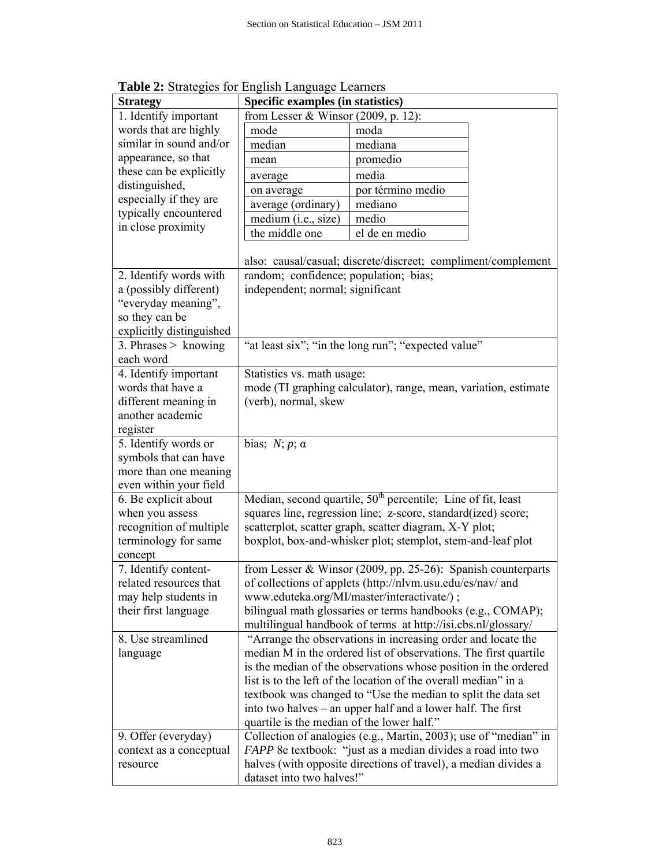| <b>Strategy</b>          | Specific examples (in statistics)                                        |                                                                    |  |  |  |
|--------------------------|--------------------------------------------------------------------------|--------------------------------------------------------------------|--|--|--|
| 1. Identify important    | from Lesser & Winsor $(2009, p. 12)$ :                                   |                                                                    |  |  |  |
| words that are highly    | mode                                                                     | moda                                                               |  |  |  |
| similar in sound and/or  | median                                                                   | mediana                                                            |  |  |  |
| appearance, so that      | mean                                                                     | promedio                                                           |  |  |  |
| these can be explicitly  | average                                                                  | media                                                              |  |  |  |
| distinguished,           | on average                                                               | por término medio                                                  |  |  |  |
| especially if they are   | average (ordinary)                                                       | mediano                                                            |  |  |  |
| typically encountered    | medium (i.e., size)                                                      | medio                                                              |  |  |  |
| in close proximity       | the middle one                                                           | el de en medio                                                     |  |  |  |
|                          |                                                                          |                                                                    |  |  |  |
|                          | also: causal/casual; discrete/discreet; compliment/complement            |                                                                    |  |  |  |
| 2. Identify words with   | random; confidence; population; bias;                                    |                                                                    |  |  |  |
| a (possibly different)   | independent; normal; significant                                         |                                                                    |  |  |  |
| "everyday meaning",      |                                                                          |                                                                    |  |  |  |
| so they can be           |                                                                          |                                                                    |  |  |  |
| explicitly distinguished |                                                                          |                                                                    |  |  |  |
| 3. Phrases $>$ knowing   | "at least six"; "in the long run"; "expected value"                      |                                                                    |  |  |  |
| each word                |                                                                          |                                                                    |  |  |  |
| 4. Identify important    | Statistics vs. math usage:                                               |                                                                    |  |  |  |
| words that have a        | mode (TI graphing calculator), range, mean, variation, estimate          |                                                                    |  |  |  |
| different meaning in     | (verb), normal, skew                                                     |                                                                    |  |  |  |
| another academic         |                                                                          |                                                                    |  |  |  |
| register                 |                                                                          |                                                                    |  |  |  |
| 5. Identify words or     | bias; $N; p; \alpha$                                                     |                                                                    |  |  |  |
| symbols that can have    |                                                                          |                                                                    |  |  |  |
| more than one meaning    |                                                                          |                                                                    |  |  |  |
| even within your field   |                                                                          |                                                                    |  |  |  |
| 6. Be explicit about     | Median, second quartile, 50 <sup>th</sup> percentile; Line of fit, least |                                                                    |  |  |  |
| when you assess          | squares line, regression line; z-score, standard(ized) score;            |                                                                    |  |  |  |
| recognition of multiple  | scatterplot, scatter graph, scatter diagram, X-Y plot;                   |                                                                    |  |  |  |
| terminology for same     | boxplot, box-and-whisker plot; stemplot, stem-and-leaf plot              |                                                                    |  |  |  |
| concept                  |                                                                          |                                                                    |  |  |  |
| 7. Identify content-     |                                                                          | from Lesser & Winsor (2009, pp. 25-26): Spanish counterparts       |  |  |  |
| related resources that   | of collections of applets (http://nlvm.usu.edu/es/nav/ and               |                                                                    |  |  |  |
| may help students in     | www.eduteka.org/MI/master/interactivate/);                               |                                                                    |  |  |  |
| their first language     |                                                                          | bilingual math glossaries or terms handbooks (e.g., COMAP);        |  |  |  |
|                          |                                                                          | multilingual handbook of terms at http://isi.cbs.nl/glossary/      |  |  |  |
| 8. Use streamlined       |                                                                          | "Arrange the observations in increasing order and locate the       |  |  |  |
| language                 | median M in the ordered list of observations. The first quartile         |                                                                    |  |  |  |
|                          |                                                                          | is the median of the observations whose position in the ordered    |  |  |  |
|                          |                                                                          | list is to the left of the location of the overall median" in a    |  |  |  |
|                          |                                                                          | textbook was changed to "Use the median to split the data set      |  |  |  |
|                          |                                                                          | into two halves – an upper half and a lower half. The first        |  |  |  |
|                          | quartile is the median of the lower half."                               |                                                                    |  |  |  |
| 9. Offer (everyday)      |                                                                          | Collection of analogies (e.g., Martin, 2003); use of "median" in   |  |  |  |
| context as a conceptual  |                                                                          | <i>FAPP</i> 8e textbook: "just as a median divides a road into two |  |  |  |
| resource                 |                                                                          | halves (with opposite directions of travel), a median divides a    |  |  |  |
|                          | dataset into two halves!"                                                |                                                                    |  |  |  |

**Table 2:** Strategies for English Language Learners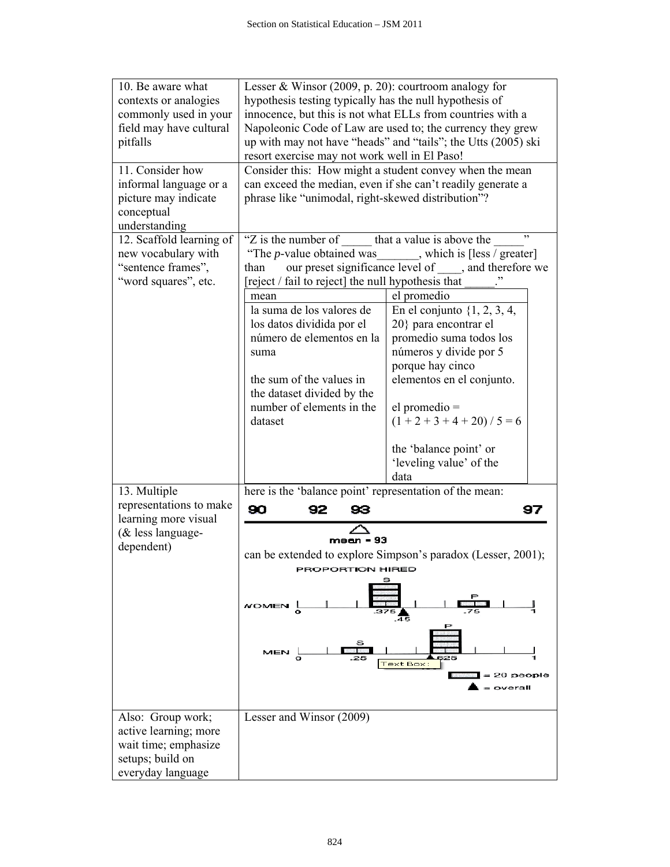| 10. Be aware what        | Lesser & Winsor $(2009, p. 20)$ : courtroom analogy for             |                                                              |  |  |  |
|--------------------------|---------------------------------------------------------------------|--------------------------------------------------------------|--|--|--|
| contexts or analogies    | hypothesis testing typically has the null hypothesis of             |                                                              |  |  |  |
| commonly used in your    | innocence, but this is not what ELLs from countries with a          |                                                              |  |  |  |
| field may have cultural  | Napoleonic Code of Law are used to; the currency they grew          |                                                              |  |  |  |
| pitfalls                 | up with may not have "heads" and "tails"; the Utts (2005) ski       |                                                              |  |  |  |
|                          | resort exercise may not work well in El Paso!                       |                                                              |  |  |  |
| 11. Consider how         | Consider this: How might a student convey when the mean             |                                                              |  |  |  |
| informal language or a   | can exceed the median, even if she can't readily generate a         |                                                              |  |  |  |
| picture may indicate     | phrase like "unimodal, right-skewed distribution"?                  |                                                              |  |  |  |
| conceptual               |                                                                     |                                                              |  |  |  |
| understanding            |                                                                     |                                                              |  |  |  |
| 12. Scaffold learning of | ,,<br>"Z is the number of that a value is above the                 |                                                              |  |  |  |
| new vocabulary with      | "The <i>p</i> -value obtained was ______, which is [less / greater] |                                                              |  |  |  |
| "sentence frames",       | our preset significance level of, and therefore we<br>than          |                                                              |  |  |  |
| "word squares", etc.     | reject / fail to reject] the null hypothesis that                   |                                                              |  |  |  |
|                          | mean                                                                | el promedio                                                  |  |  |  |
|                          | la suma de los valores de                                           | En el conjunto $\{1, 2, 3, 4,$                               |  |  |  |
|                          | los datos dividida por el                                           | 20} para encontrar el                                        |  |  |  |
|                          | número de elementos en la                                           | promedio suma todos los                                      |  |  |  |
|                          | suma                                                                | números y divide por 5                                       |  |  |  |
|                          |                                                                     | porque hay cinco                                             |  |  |  |
|                          | the sum of the values in                                            | elementos en el conjunto.                                    |  |  |  |
|                          | the dataset divided by the                                          |                                                              |  |  |  |
|                          | number of elements in the                                           | $el$ promedio $=$                                            |  |  |  |
|                          | dataset                                                             | $(1 + 2 + 3 + 4 + 20) / 5 = 6$                               |  |  |  |
|                          |                                                                     |                                                              |  |  |  |
|                          |                                                                     | the 'balance point' or                                       |  |  |  |
|                          |                                                                     | 'leveling value' of the                                      |  |  |  |
|                          |                                                                     | data                                                         |  |  |  |
| 13. Multiple             | here is the 'balance point' representation of the mean:             |                                                              |  |  |  |
| representations to make  |                                                                     |                                                              |  |  |  |
| learning more visual     | 90<br>92<br>93                                                      | 97                                                           |  |  |  |
| $&$ less language-       |                                                                     |                                                              |  |  |  |
| dependent)               | $mean = 93$                                                         |                                                              |  |  |  |
|                          |                                                                     | can be extended to explore Simpson's paradox (Lesser, 2001); |  |  |  |
|                          | PROPORTION HIRED                                                    |                                                              |  |  |  |
|                          |                                                                     |                                                              |  |  |  |
|                          |                                                                     |                                                              |  |  |  |
|                          | <b>NOMEN</b>                                                        |                                                              |  |  |  |
|                          |                                                                     | 45                                                           |  |  |  |
|                          |                                                                     |                                                              |  |  |  |
|                          |                                                                     |                                                              |  |  |  |
|                          | Text Box:                                                           |                                                              |  |  |  |
|                          |                                                                     | 20 people                                                    |  |  |  |
|                          |                                                                     | overall                                                      |  |  |  |
|                          |                                                                     |                                                              |  |  |  |
| Also: Group work;        | Lesser and Winsor (2009)                                            |                                                              |  |  |  |
| active learning; more    |                                                                     |                                                              |  |  |  |
| wait time; emphasize     |                                                                     |                                                              |  |  |  |
| setups; build on         |                                                                     |                                                              |  |  |  |
| everyday language        |                                                                     |                                                              |  |  |  |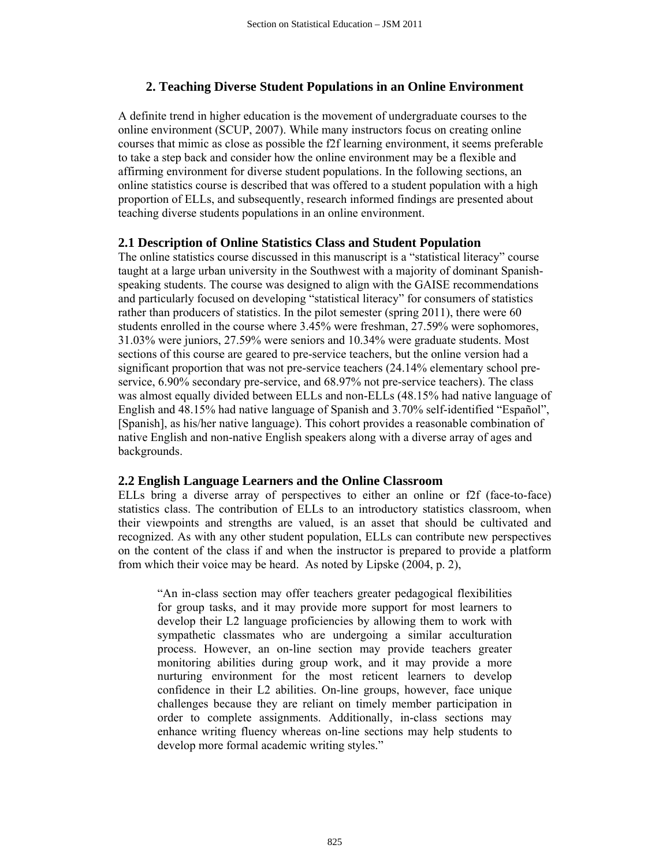## **2. Teaching Diverse Student Populations in an Online Environment**

A definite trend in higher education is the movement of undergraduate courses to the online environment (SCUP, 2007). While many instructors focus on creating online courses that mimic as close as possible the f2f learning environment, it seems preferable to take a step back and consider how the online environment may be a flexible and affirming environment for diverse student populations. In the following sections, an online statistics course is described that was offered to a student population with a high proportion of ELLs, and subsequently, research informed findings are presented about teaching diverse students populations in an online environment.

#### **2.1 Description of Online Statistics Class and Student Population**

The online statistics course discussed in this manuscript is a "statistical literacy" course taught at a large urban university in the Southwest with a majority of dominant Spanishspeaking students. The course was designed to align with the GAISE recommendations and particularly focused on developing "statistical literacy" for consumers of statistics rather than producers of statistics. In the pilot semester (spring 2011), there were 60 students enrolled in the course where 3.45% were freshman, 27.59% were sophomores, 31.03% were juniors, 27.59% were seniors and 10.34% were graduate students. Most sections of this course are geared to pre-service teachers, but the online version had a significant proportion that was not pre-service teachers (24.14% elementary school preservice, 6.90% secondary pre-service, and 68.97% not pre-service teachers). The class was almost equally divided between ELLs and non-ELLs (48.15% had native language of English and 48.15% had native language of Spanish and 3.70% self-identified "Español", [Spanish], as his/her native language). This cohort provides a reasonable combination of native English and non-native English speakers along with a diverse array of ages and backgrounds.

#### **2.2 English Language Learners and the Online Classroom**

ELLs bring a diverse array of perspectives to either an online or f2f (face-to-face) statistics class. The contribution of ELLs to an introductory statistics classroom, when their viewpoints and strengths are valued, is an asset that should be cultivated and recognized. As with any other student population, ELLs can contribute new perspectives on the content of the class if and when the instructor is prepared to provide a platform from which their voice may be heard. As noted by Lipske (2004, p. 2),

"An in-class section may offer teachers greater pedagogical flexibilities for group tasks, and it may provide more support for most learners to develop their L2 language proficiencies by allowing them to work with sympathetic classmates who are undergoing a similar acculturation process. However, an on-line section may provide teachers greater monitoring abilities during group work, and it may provide a more nurturing environment for the most reticent learners to develop confidence in their L2 abilities. On-line groups, however, face unique challenges because they are reliant on timely member participation in order to complete assignments. Additionally, in-class sections may enhance writing fluency whereas on-line sections may help students to develop more formal academic writing styles."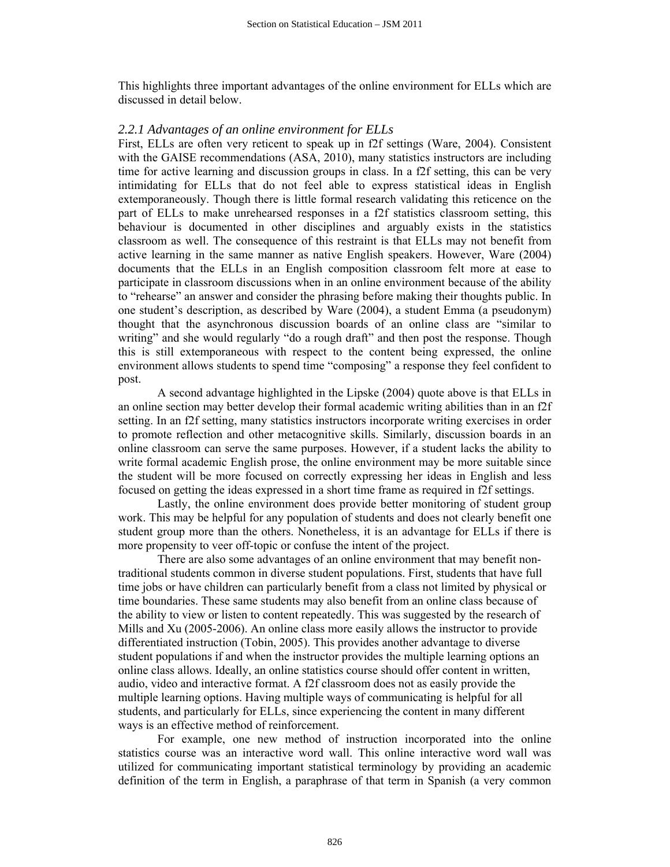This highlights three important advantages of the online environment for ELLs which are discussed in detail below.

#### *2.2.1 Advantages of an online environment for ELLs*

First, ELLs are often very reticent to speak up in f2f settings (Ware, 2004). Consistent with the GAISE recommendations (ASA, 2010), many statistics instructors are including time for active learning and discussion groups in class. In a f2f setting, this can be very intimidating for ELLs that do not feel able to express statistical ideas in English extemporaneously. Though there is little formal research validating this reticence on the part of ELLs to make unrehearsed responses in a f2f statistics classroom setting, this behaviour is documented in other disciplines and arguably exists in the statistics classroom as well. The consequence of this restraint is that ELLs may not benefit from active learning in the same manner as native English speakers. However, Ware (2004) documents that the ELLs in an English composition classroom felt more at ease to participate in classroom discussions when in an online environment because of the ability to "rehearse" an answer and consider the phrasing before making their thoughts public. In one student's description, as described by Ware (2004), a student Emma (a pseudonym) thought that the asynchronous discussion boards of an online class are "similar to writing" and she would regularly "do a rough draft" and then post the response. Though this is still extemporaneous with respect to the content being expressed, the online environment allows students to spend time "composing" a response they feel confident to post.

 A second advantage highlighted in the Lipske (2004) quote above is that ELLs in an online section may better develop their formal academic writing abilities than in an f2f setting. In an f2f setting, many statistics instructors incorporate writing exercises in order to promote reflection and other metacognitive skills. Similarly, discussion boards in an online classroom can serve the same purposes. However, if a student lacks the ability to write formal academic English prose, the online environment may be more suitable since the student will be more focused on correctly expressing her ideas in English and less focused on getting the ideas expressed in a short time frame as required in f2f settings.

 Lastly, the online environment does provide better monitoring of student group work. This may be helpful for any population of students and does not clearly benefit one student group more than the others. Nonetheless, it is an advantage for ELLs if there is more propensity to veer off-topic or confuse the intent of the project.

 There are also some advantages of an online environment that may benefit nontraditional students common in diverse student populations. First, students that have full time jobs or have children can particularly benefit from a class not limited by physical or time boundaries. These same students may also benefit from an online class because of the ability to view or listen to content repeatedly. This was suggested by the research of Mills and Xu (2005-2006). An online class more easily allows the instructor to provide differentiated instruction (Tobin, 2005). This provides another advantage to diverse student populations if and when the instructor provides the multiple learning options an online class allows. Ideally, an online statistics course should offer content in written, audio, video and interactive format. A f2f classroom does not as easily provide the multiple learning options. Having multiple ways of communicating is helpful for all students, and particularly for ELLs, since experiencing the content in many different ways is an effective method of reinforcement.

For example, one new method of instruction incorporated into the online statistics course was an interactive word wall. This online interactive word wall was utilized for communicating important statistical terminology by providing an academic definition of the term in English, a paraphrase of that term in Spanish (a very common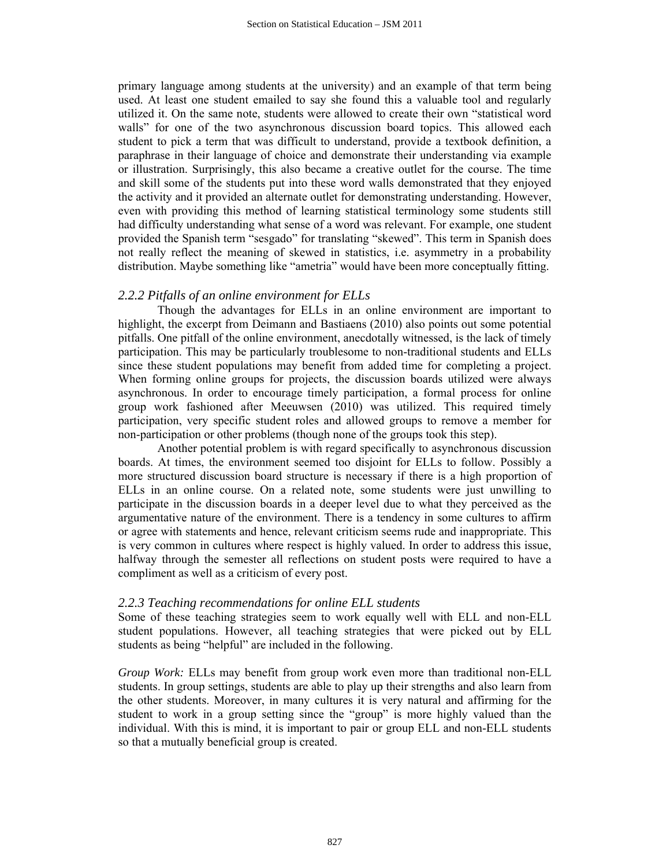primary language among students at the university) and an example of that term being used. At least one student emailed to say she found this a valuable tool and regularly utilized it. On the same note, students were allowed to create their own "statistical word walls" for one of the two asynchronous discussion board topics. This allowed each student to pick a term that was difficult to understand, provide a textbook definition, a paraphrase in their language of choice and demonstrate their understanding via example or illustration. Surprisingly, this also became a creative outlet for the course. The time and skill some of the students put into these word walls demonstrated that they enjoyed the activity and it provided an alternate outlet for demonstrating understanding. However, even with providing this method of learning statistical terminology some students still had difficulty understanding what sense of a word was relevant. For example, one student provided the Spanish term "sesgado" for translating "skewed". This term in Spanish does not really reflect the meaning of skewed in statistics, i.e. asymmetry in a probability distribution. Maybe something like "ametria" would have been more conceptually fitting.

#### *2.2.2 Pitfalls of an online environment for ELLs*

Though the advantages for ELLs in an online environment are important to highlight, the excerpt from Deimann and Bastiaens (2010) also points out some potential pitfalls. One pitfall of the online environment, anecdotally witnessed, is the lack of timely participation. This may be particularly troublesome to non-traditional students and ELLs since these student populations may benefit from added time for completing a project. When forming online groups for projects, the discussion boards utilized were always asynchronous. In order to encourage timely participation, a formal process for online group work fashioned after Meeuwsen (2010) was utilized. This required timely participation, very specific student roles and allowed groups to remove a member for non-participation or other problems (though none of the groups took this step).

Another potential problem is with regard specifically to asynchronous discussion boards. At times, the environment seemed too disjoint for ELLs to follow. Possibly a more structured discussion board structure is necessary if there is a high proportion of ELLs in an online course. On a related note, some students were just unwilling to participate in the discussion boards in a deeper level due to what they perceived as the argumentative nature of the environment. There is a tendency in some cultures to affirm or agree with statements and hence, relevant criticism seems rude and inappropriate. This is very common in cultures where respect is highly valued. In order to address this issue, halfway through the semester all reflections on student posts were required to have a compliment as well as a criticism of every post.

#### *2.2.3 Teaching recommendations for online ELL students*

Some of these teaching strategies seem to work equally well with ELL and non-ELL student populations. However, all teaching strategies that were picked out by ELL students as being "helpful" are included in the following.

*Group Work:* ELLs may benefit from group work even more than traditional non-ELL students. In group settings, students are able to play up their strengths and also learn from the other students. Moreover, in many cultures it is very natural and affirming for the student to work in a group setting since the "group" is more highly valued than the individual. With this is mind, it is important to pair or group ELL and non-ELL students so that a mutually beneficial group is created.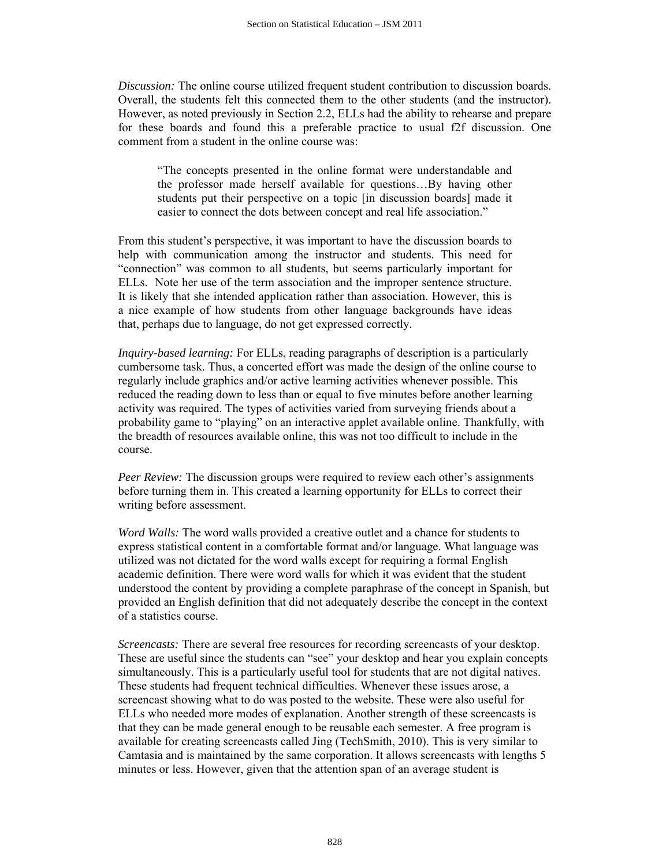*Discussion:* The online course utilized frequent student contribution to discussion boards. Overall, the students felt this connected them to the other students (and the instructor). However, as noted previously in Section 2.2, ELLs had the ability to rehearse and prepare for these boards and found this a preferable practice to usual f2f discussion. One comment from a student in the online course was:

"The concepts presented in the online format were understandable and the professor made herself available for questions…By having other students put their perspective on a topic [in discussion boards] made it easier to connect the dots between concept and real life association."

From this student's perspective, it was important to have the discussion boards to help with communication among the instructor and students. This need for "connection" was common to all students, but seems particularly important for ELLs. Note her use of the term association and the improper sentence structure. It is likely that she intended application rather than association. However, this is a nice example of how students from other language backgrounds have ideas that, perhaps due to language, do not get expressed correctly.

*Inquiry-based learning:* For ELLs, reading paragraphs of description is a particularly cumbersome task. Thus, a concerted effort was made the design of the online course to regularly include graphics and/or active learning activities whenever possible. This reduced the reading down to less than or equal to five minutes before another learning activity was required. The types of activities varied from surveying friends about a probability game to "playing" on an interactive applet available online. Thankfully, with the breadth of resources available online, this was not too difficult to include in the course.

*Peer Review:* The discussion groups were required to review each other's assignments before turning them in. This created a learning opportunity for ELLs to correct their writing before assessment.

*Word Walls:* The word walls provided a creative outlet and a chance for students to express statistical content in a comfortable format and/or language. What language was utilized was not dictated for the word walls except for requiring a formal English academic definition. There were word walls for which it was evident that the student understood the content by providing a complete paraphrase of the concept in Spanish, but provided an English definition that did not adequately describe the concept in the context of a statistics course.

*Screencasts:* There are several free resources for recording screencasts of your desktop. These are useful since the students can "see" your desktop and hear you explain concepts simultaneously. This is a particularly useful tool for students that are not digital natives. These students had frequent technical difficulties. Whenever these issues arose, a screencast showing what to do was posted to the website. These were also useful for ELLs who needed more modes of explanation. Another strength of these screencasts is that they can be made general enough to be reusable each semester. A free program is available for creating screencasts called Jing (TechSmith, 2010). This is very similar to Camtasia and is maintained by the same corporation. It allows screencasts with lengths 5 minutes or less. However, given that the attention span of an average student is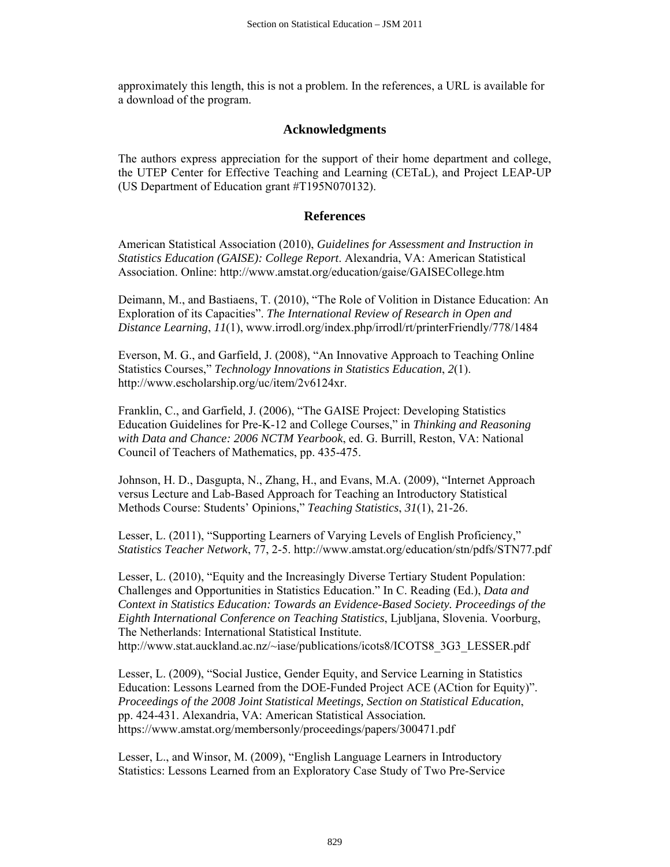approximately this length, this is not a problem. In the references, a URL is available for a download of the program.

## **Acknowledgments**

The authors express appreciation for the support of their home department and college, the UTEP Center for Effective Teaching and Learning (CETaL), and Project LEAP-UP (US Department of Education grant #T195N070132).

## **References**

American Statistical Association (2010), *Guidelines for Assessment and Instruction in Statistics Education (GAISE): College Report*. Alexandria, VA: American Statistical Association. Online: http://www.amstat.org/education/gaise/GAISECollege.htm

Deimann, M., and Bastiaens, T. (2010), "The Role of Volition in Distance Education: An Exploration of its Capacities". *The International Review of Research in Open and Distance Learning*, *11*(1), www.irrodl.org/index.php/irrodl/rt/printerFriendly/778/1484

Everson, M. G., and Garfield, J. (2008), "An Innovative Approach to Teaching Online Statistics Courses," *Technology Innovations in Statistics Education*, *2*(1). http://www.escholarship.org/uc/item/2v6124xr.

Franklin, C., and Garfield, J. (2006), "The GAISE Project: Developing Statistics Education Guidelines for Pre-K-12 and College Courses," in *Thinking and Reasoning with Data and Chance: 2006 NCTM Yearbook*, ed. G. Burrill, Reston, VA: National Council of Teachers of Mathematics, pp. 435-475.

Johnson, H. D., Dasgupta, N., Zhang, H., and Evans, M.A. (2009), "Internet Approach versus Lecture and Lab-Based Approach for Teaching an Introductory Statistical Methods Course: Students' Opinions," *Teaching Statistics*, *31*(1), 21-26.

Lesser, L. (2011), "Supporting Learners of Varying Levels of English Proficiency," *Statistics Teacher Network*, 77, 2-5. http://www.amstat.org/education/stn/pdfs/STN77.pdf

Lesser, L. (2010), "Equity and the Increasingly Diverse Tertiary Student Population: Challenges and Opportunities in Statistics Education." In C. Reading (Ed.), *Data and Context in Statistics Education: Towards an Evidence-Based Society. Proceedings of the Eighth International Conference on Teaching Statistics*, Ljubljana, Slovenia. Voorburg, The Netherlands: International Statistical Institute. http://www.stat.auckland.ac.nz/~iase/publications/icots8/ICOTS8\_3G3\_LESSER.pdf

Lesser, L. (2009), "Social Justice, Gender Equity, and Service Learning in Statistics Education: Lessons Learned from the DOE-Funded Project ACE (ACtion for Equity)". *Proceedings of the 2008 Joint Statistical Meetings, Section on Statistical Education*, pp. 424-431. Alexandria, VA: American Statistical Association*.* https://www.amstat.org/membersonly/proceedings/papers/300471.pdf

Lesser, L., and Winsor, M. (2009), "English Language Learners in Introductory Statistics: Lessons Learned from an Exploratory Case Study of Two Pre-Service